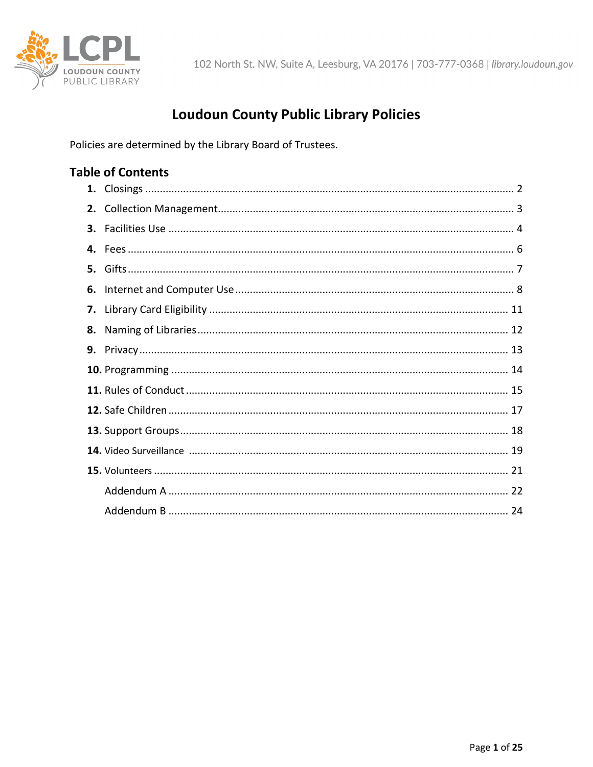

# **Loudoun County Public Library Policies**

Policies are determined by the Library Board of Trustees.

### **Table of Contents**

| 2. |  |
|----|--|
| 3. |  |
|    |  |
| 5. |  |
| 6. |  |
|    |  |
| 8. |  |
| 9. |  |
|    |  |
|    |  |
|    |  |
|    |  |
|    |  |
|    |  |
|    |  |
|    |  |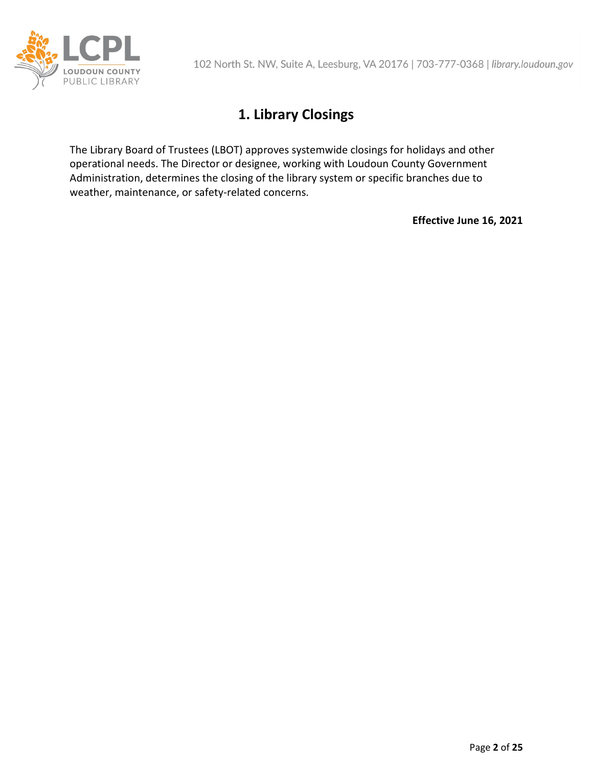

# **1. Library Closings**

The Library Board of Trustees (LBOT) approves systemwide closings for holidays and other operational needs. The Director or designee, working with Loudoun County Government Administration, determines the closing of the library system or specific branches due to weather, maintenance, or safety-related concerns.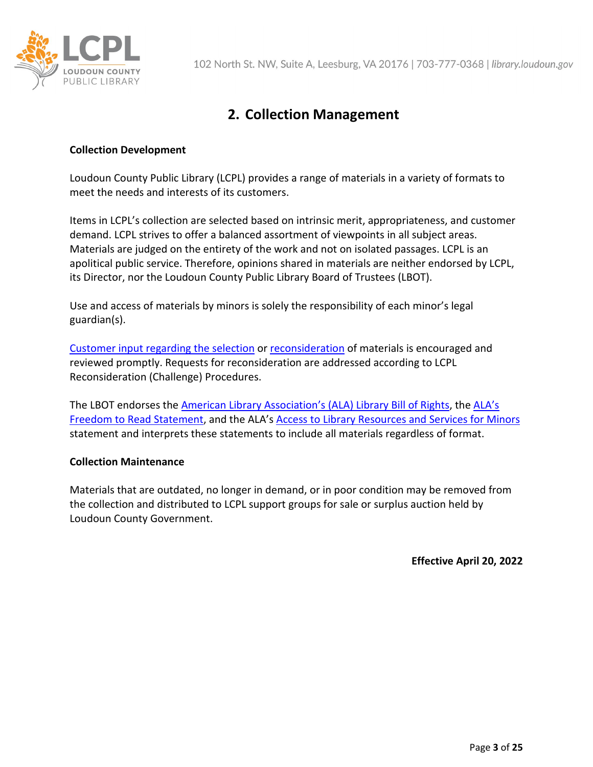

# **2. Collection Management**

### **Collection Development**

Loudoun County Public Library (LCPL) provides a range of materials in a variety of formats to meet the needs and interests of its customers.

Items in LCPL's collection are selected based on intrinsic merit, appropriateness, and customer demand. LCPL strives to offer a balanced assortment of viewpoints in all subject areas. Materials are judged on the entirety of the work and not on isolated passages. LCPL is an apolitical public service. Therefore, opinions shared in materials are neither endorsed by LCPL, its Director, nor the Loudoun County Public Library Board of Trustees (LBOT).

Use and access of materials by minors is solely the responsibility of each minor's legal guardian(s).

[Customer input regarding the selection](https://library.loudoun.gov/SERVICES/Suggest-a-Title) or [reconsideration](https://library.loudoun.gov/Forms/Request-for-Reconsideration) of materials is encouraged and reviewed promptly. Requests for reconsideration are addressed according to LCPL Reconsideration (Challenge) Procedures.

The LBOT endorses the [American Library Association's \(ALA\) Library Bill of Rights,](http://www.ala.org/advocacy/intfreedom/librarybill) the [ALA's](http://www.ala.org/advocacy/intfreedom/freedomreadstatement)  [Freedom to Read Statement,](http://www.ala.org/advocacy/intfreedom/freedomreadstatement) and the ALA's [Access to Library Resources and Services for](https://www.ala.org/advocacy/intfreedom/librarybill/interpretations/minors) Minors statement and interprets these statements to include all materials regardless of format.

### **Collection Maintenance**

Materials that are outdated, no longer in demand, or in poor condition may be removed from the collection and distributed to LCPL support groups for sale or surplus auction held by Loudoun County Government.

**Effective April 20, 2022**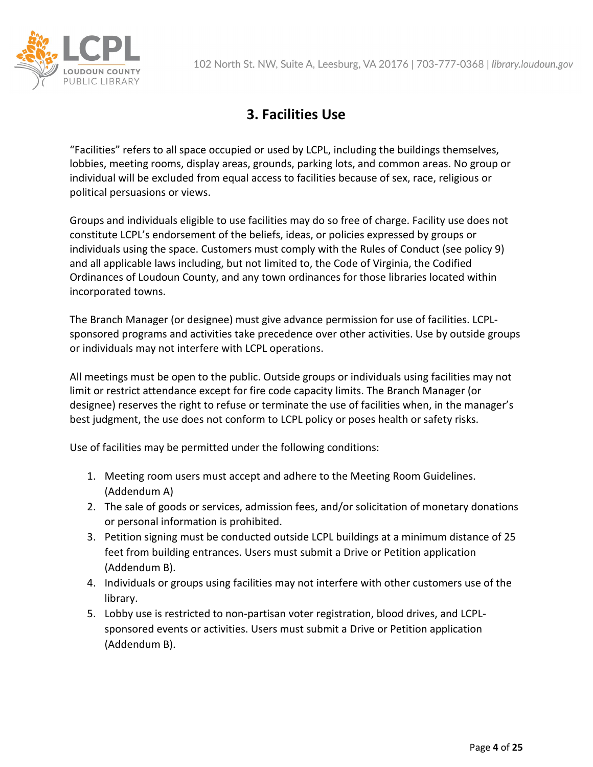

# **3. Facilities Use**

"Facilities" refers to all space occupied or used by LCPL, including the buildings themselves, lobbies, meeting rooms, display areas, grounds, parking lots, and common areas. No group or individual will be excluded from equal access to facilities because of sex, race, religious or political persuasions or views.

Groups and individuals eligible to use facilities may do so free of charge. Facility use does not constitute LCPL's endorsement of the beliefs, ideas, or policies expressed by groups or individuals using the space. Customers must comply with the Rules of Conduct (see policy 9) and all applicable laws including, but not limited to, the Code of Virginia, the Codified Ordinances of Loudoun County, and any town ordinances for those libraries located within incorporated towns.

The Branch Manager (or designee) must give advance permission for use of facilities. LCPLsponsored programs and activities take precedence over other activities. Use by outside groups or individuals may not interfere with LCPL operations.

All meetings must be open to the public. Outside groups or individuals using facilities may not limit or restrict attendance except for fire code capacity limits. The Branch Manager (or designee) reserves the right to refuse or terminate the use of facilities when, in the manager's best judgment, the use does not conform to LCPL policy or poses health or safety risks.

Use of facilities may be permitted under the following conditions:

- 1. Meeting room users must accept and adhere to the Meeting Room Guidelines. (Addendum A)
- 2. The sale of goods or services, admission fees, and/or solicitation of monetary donations or personal information is prohibited.
- 3. Petition signing must be conducted outside LCPL buildings at a minimum distance of 25 feet from building entrances. Users must submit a Drive or Petition application (Addendum B).
- 4. Individuals or groups using facilities may not interfere with other customers use of the library.
- 5. Lobby use is restricted to non-partisan voter registration, blood drives, and LCPLsponsored events or activities. Users must submit a Drive or Petition application (Addendum B).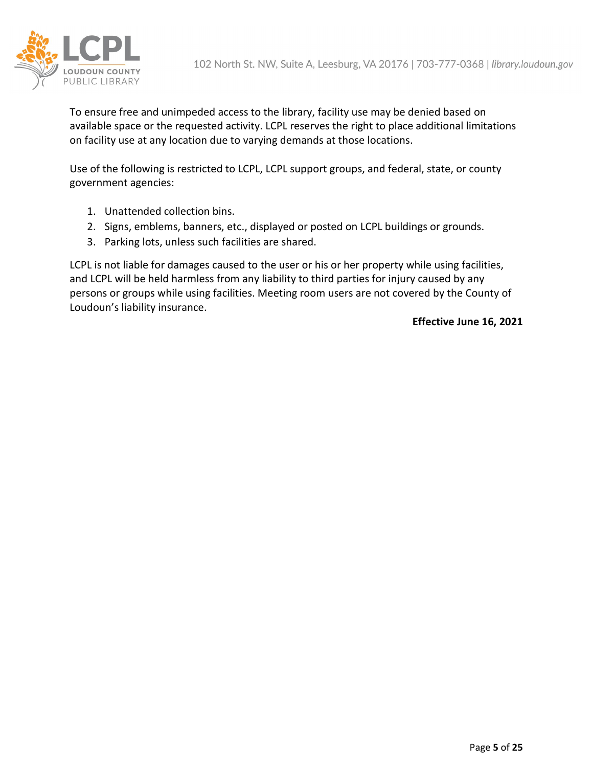

To ensure free and unimpeded access to the library, facility use may be denied based on available space or the requested activity. LCPL reserves the right to place additional limitations on facility use at any location due to varying demands at those locations.

Use of the following is restricted to LCPL, LCPL support groups, and federal, state, or county government agencies:

- 1. Unattended collection bins.
- 2. Signs, emblems, banners, etc., displayed or posted on LCPL buildings or grounds.
- 3. Parking lots, unless such facilities are shared.

LCPL is not liable for damages caused to the user or his or her property while using facilities, and LCPL will be held harmless from any liability to third parties for injury caused by any persons or groups while using facilities. Meeting room users are not covered by the County of Loudoun's liability insurance.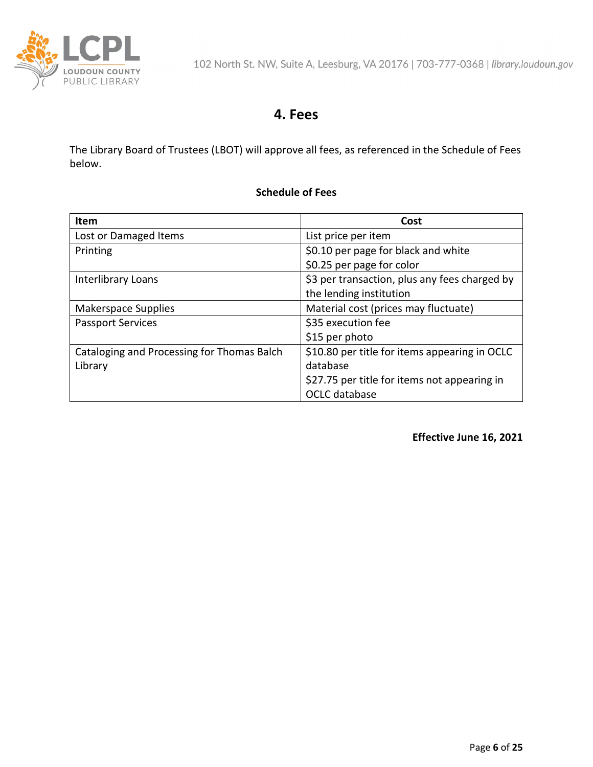

### **4. Fees**

The Library Board of Trustees (LBOT) will approve all fees, as referenced in the Schedule of Fees below.

### **Schedule of Fees**

| <b>Item</b>                                | Cost                                          |
|--------------------------------------------|-----------------------------------------------|
| Lost or Damaged Items                      | List price per item                           |
| Printing                                   | \$0.10 per page for black and white           |
|                                            | \$0.25 per page for color                     |
| Interlibrary Loans                         | \$3 per transaction, plus any fees charged by |
|                                            | the lending institution                       |
| Makerspace Supplies                        | Material cost (prices may fluctuate)          |
| <b>Passport Services</b>                   | \$35 execution fee                            |
|                                            | \$15 per photo                                |
| Cataloging and Processing for Thomas Balch | \$10.80 per title for items appearing in OCLC |
| Library                                    | database                                      |
|                                            | \$27.75 per title for items not appearing in  |
|                                            | OCLC database                                 |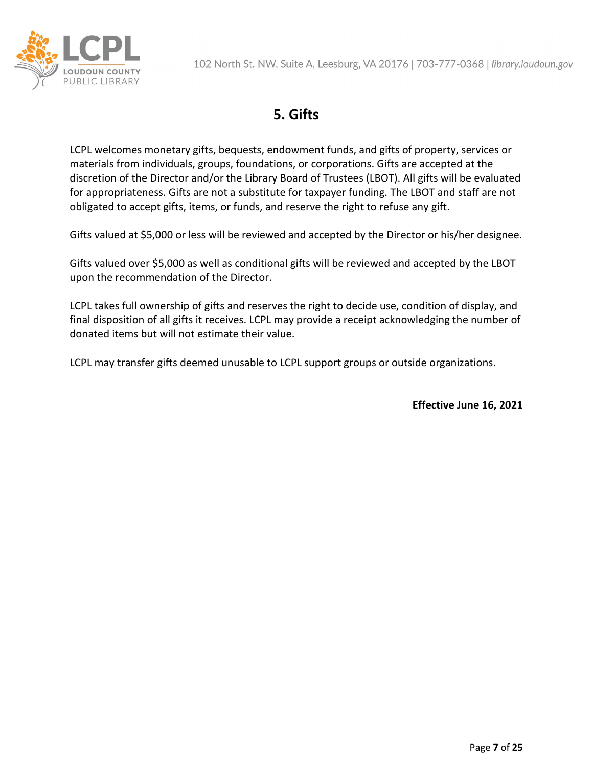

# **5. Gifts**

LCPL welcomes monetary gifts, bequests, endowment funds, and gifts of property, services or materials from individuals, groups, foundations, or corporations. Gifts are accepted at the discretion of the Director and/or the Library Board of Trustees (LBOT). All gifts will be evaluated for appropriateness. Gifts are not a substitute for taxpayer funding. The LBOT and staff are not obligated to accept gifts, items, or funds, and reserve the right to refuse any gift.

Gifts valued at \$5,000 or less will be reviewed and accepted by the Director or his/her designee.

Gifts valued over \$5,000 as well as conditional gifts will be reviewed and accepted by the LBOT upon the recommendation of the Director.

LCPL takes full ownership of gifts and reserves the right to decide use, condition of display, and final disposition of all gifts it receives. LCPL may provide a receipt acknowledging the number of donated items but will not estimate their value.

LCPL may transfer gifts deemed unusable to LCPL support groups or outside organizations.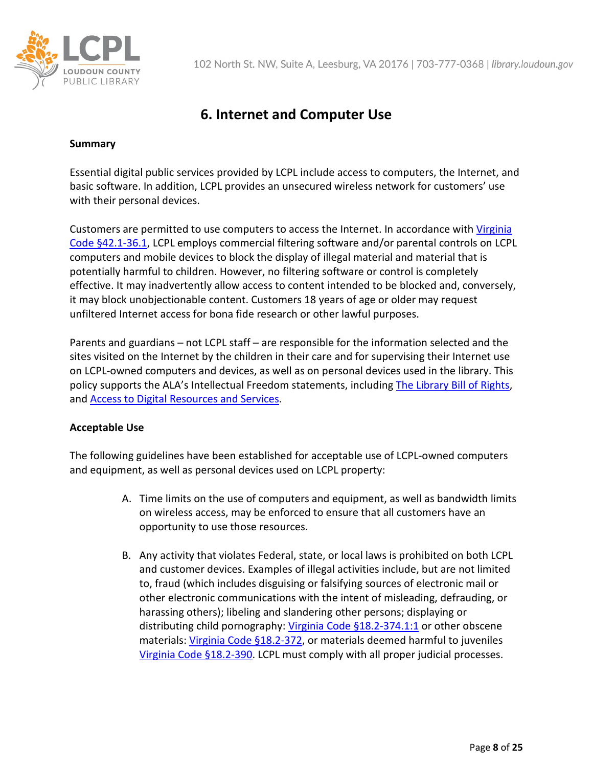

# **6. Internet and Computer Use**

#### **Summary**

Essential digital public services provided by LCPL include access to computers, the Internet, and basic software. In addition, LCPL provides an unsecured wireless network for customers' use with their personal devices.

Customers are permitted to use computers to access the Internet. In accordance with [Virginia](https://law.lis.virginia.gov/vacode/title42.1/chapter2/section42.1-36.1/#:%7E:text=%C2%A7%2042.1%2D36.1.-,Power%20and%20duty%20of%20library%20boards%20and%20certain,regarding%20acceptable%20Internet%20use%20policies.&text=The%20policy%20required%20by%20this,to%20the%20public%20upon%20request.)  [Code §42.1-36.1,](https://law.lis.virginia.gov/vacode/title42.1/chapter2/section42.1-36.1/#:%7E:text=%C2%A7%2042.1%2D36.1.-,Power%20and%20duty%20of%20library%20boards%20and%20certain,regarding%20acceptable%20Internet%20use%20policies.&text=The%20policy%20required%20by%20this,to%20the%20public%20upon%20request.) LCPL employs commercial filtering software and/or parental controls on LCPL computers and mobile devices to block the display of illegal material and material that is potentially harmful to children. However, no filtering software or control is completely effective. It may inadvertently allow access to content intended to be blocked and, conversely, it may block unobjectionable content. Customers 18 years of age or older may request unfiltered Internet access for bona fide research or other lawful purposes.

Parents and guardians – not LCPL staff – are responsible for the information selected and the sites visited on the Internet by the children in their care and for supervising their Internet use on LCPL-owned computers and devices, as well as on personal devices used in the library. This policy supports the ALA's Intellectual Freedom statements, including [The Library Bill of Rights,](http://www.ala.org/advocacy/intfreedom/librarybill/) and [Access to Digital Resources and Services.](http://www.ala.org/advocacy/intfreedom/librarybill/interpretations/accessdigital)

### **Acceptable Use**

The following guidelines have been established for acceptable use of LCPL-owned computers and equipment, as well as personal devices used on LCPL property:

- A. Time limits on the use of computers and equipment, as well as bandwidth limits on wireless access, may be enforced to ensure that all customers have an opportunity to use those resources.
- B. Any activity that violates Federal, state, or local laws is prohibited on both LCPL and customer devices. Examples of illegal activities include, but are not limited to, fraud (which includes disguising or falsifying sources of electronic mail or other electronic communications with the intent of misleading, defrauding, or harassing others); libeling and slandering other persons; displaying or distributing child pornography[: Virginia Code §18.2-374.1:1](https://law.lis.virginia.gov/vacode/title18.2/chapter8/section18.2-374.1:1/) or other obscene materials: [Virginia Code §18.2-372,](https://law.lis.virginia.gov/vacode/title18.2/chapter8/section18.2-372/#:%7E:text=The%20word%20%22obscene%22%20where%20it,functions%20or%20products%20thereof%20or) or materials deemed harmful to juveniles [Virginia Code §18.2-390.](https://law.lis.virginia.gov/vacode/title18.2/chapter8/section18.2-390/#:%7E:text=(2)%20%22Nudity%22%20means,depiction%20of%20covered%20or%20uncovered) LCPL must comply with all proper judicial processes.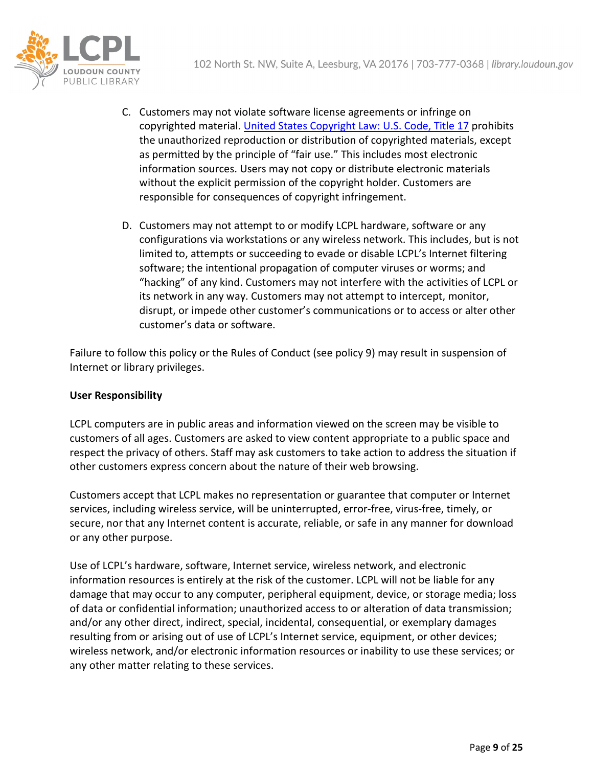

- C. Customers may not violate software license agreements or infringe on copyrighted material. [United States Copyright Law: U.S. Code, Title 17](https://www.copyright.gov/title17/) prohibits the unauthorized reproduction or distribution of copyrighted materials, except as permitted by the principle of "fair use." This includes most electronic information sources. Users may not copy or distribute electronic materials without the explicit permission of the copyright holder. Customers are responsible for consequences of copyright infringement.
- D. Customers may not attempt to or modify LCPL hardware, software or any configurations via workstations or any wireless network. This includes, but is not limited to, attempts or succeeding to evade or disable LCPL's Internet filtering software; the intentional propagation of computer viruses or worms; and "hacking" of any kind. Customers may not interfere with the activities of LCPL or its network in any way. Customers may not attempt to intercept, monitor, disrupt, or impede other customer's communications or to access or alter other customer's data or software.

Failure to follow this policy or the Rules of Conduct (see policy 9) may result in suspension of Internet or library privileges.

### **User Responsibility**

LCPL computers are in public areas and information viewed on the screen may be visible to customers of all ages. Customers are asked to view content appropriate to a public space and respect the privacy of others. Staff may ask customers to take action to address the situation if other customers express concern about the nature of their web browsing.

Customers accept that LCPL makes no representation or guarantee that computer or Internet services, including wireless service, will be uninterrupted, error-free, virus-free, timely, or secure, nor that any Internet content is accurate, reliable, or safe in any manner for download or any other purpose.

Use of LCPL's hardware, software, Internet service, wireless network, and electronic information resources is entirely at the risk of the customer. LCPL will not be liable for any damage that may occur to any computer, peripheral equipment, device, or storage media; loss of data or confidential information; unauthorized access to or alteration of data transmission; and/or any other direct, indirect, special, incidental, consequential, or exemplary damages resulting from or arising out of use of LCPL's Internet service, equipment, or other devices; wireless network, and/or electronic information resources or inability to use these services; or any other matter relating to these services.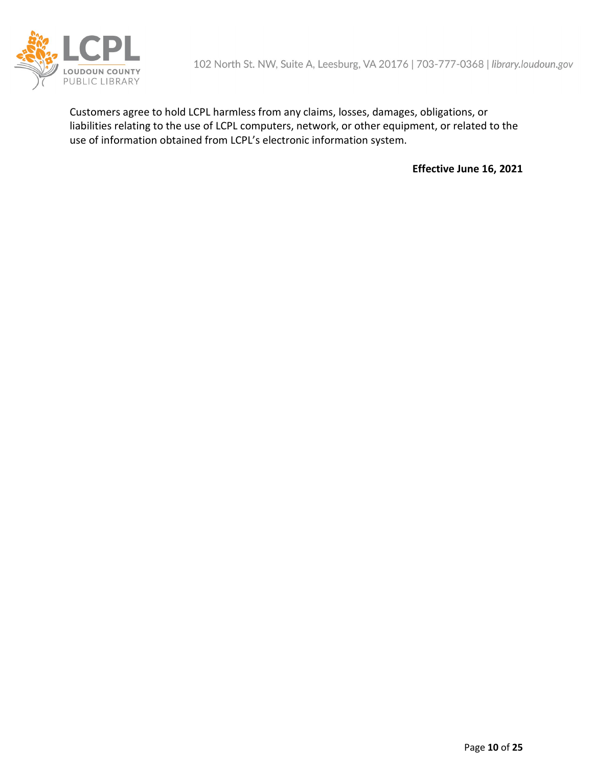

Customers agree to hold LCPL harmless from any claims, losses, damages, obligations, or liabilities relating to the use of LCPL computers, network, or other equipment, or related to the use of information obtained from LCPL's electronic information system.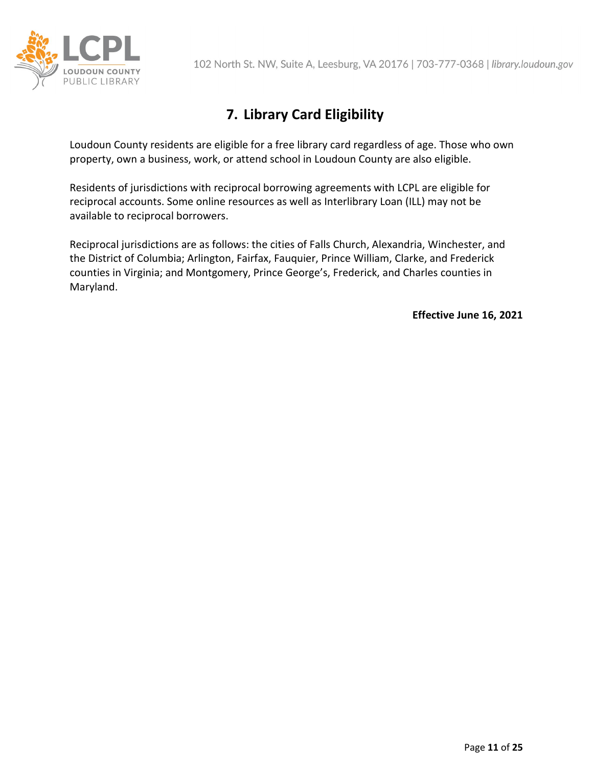

# **7. Library Card Eligibility**

Loudoun County residents are eligible for a free library card regardless of age. Those who own property, own a business, work, or attend school in Loudoun County are also eligible.

Residents of jurisdictions with reciprocal borrowing agreements with LCPL are eligible for reciprocal accounts. Some online resources as well as Interlibrary Loan (ILL) may not be available to reciprocal borrowers.

Reciprocal jurisdictions are as follows: the cities of Falls Church, Alexandria, Winchester, and the District of Columbia; Arlington, Fairfax, Fauquier, Prince William, Clarke, and Frederick counties in Virginia; and Montgomery, Prince George's, Frederick, and Charles counties in Maryland.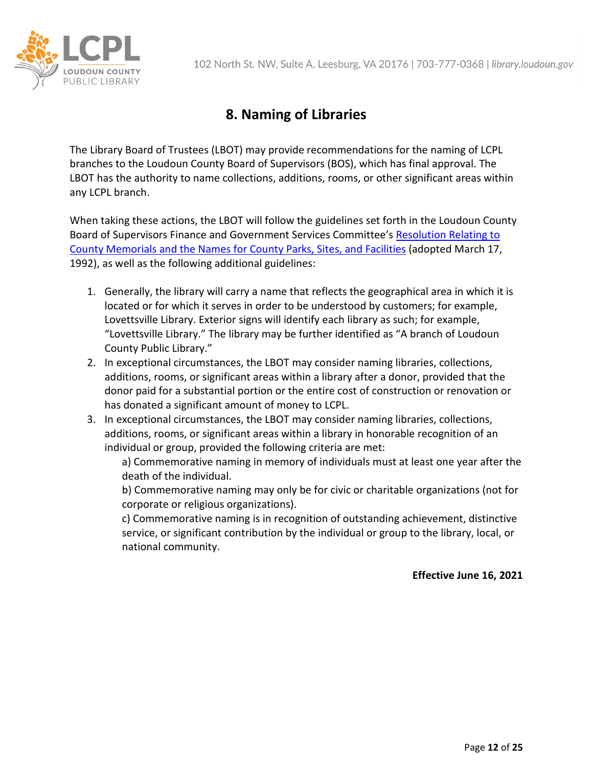

# **8. Naming of Libraries**

The Library Board of Trustees (LBOT) may provide recommendations for the naming of LCPL branches to the Loudoun County Board of Supervisors (BOS), which has final approval. The LBOT has the authority to name collections, additions, rooms, or other significant areas within any LCPL branch.

When taking these actions, the LBOT will follow the guidelines set forth in the Loudoun County Board of Supervisors Finance and Government Services Committee'[s Resolution Relating to](http://lfportal.loudoun.gov/LFPortalInternet/0/doc/110244/Electronic.aspx)  [County Memorials and the Names for County Parks, Sites, and Facilities](http://lfportal.loudoun.gov/LFPortalInternet/0/doc/110244/Electronic.aspx) (adopted March 17, 1992), as well as the following additional guidelines:

- 1. Generally, the library will carry a name that reflects the geographical area in which it is located or for which it serves in order to be understood by customers; for example, Lovettsville Library. Exterior signs will identify each library as such; for example, "Lovettsville Library." The library may be further identified as "A branch of Loudoun County Public Library."
- 2. In exceptional circumstances, the LBOT may consider naming libraries, collections, additions, rooms, or significant areas within a library after a donor, provided that the donor paid for a substantial portion or the entire cost of construction or renovation or has donated a significant amount of money to LCPL.
- 3. In exceptional circumstances, the LBOT may consider naming libraries, collections, additions, rooms, or significant areas within a library in honorable recognition of an individual or group, provided the following criteria are met:

a) Commemorative naming in memory of individuals must at least one year after the death of the individual.

b) Commemorative naming may only be for civic or charitable organizations (not for corporate or religious organizations).

c) Commemorative naming is in recognition of outstanding achievement, distinctive service, or significant contribution by the individual or group to the library, local, or national community.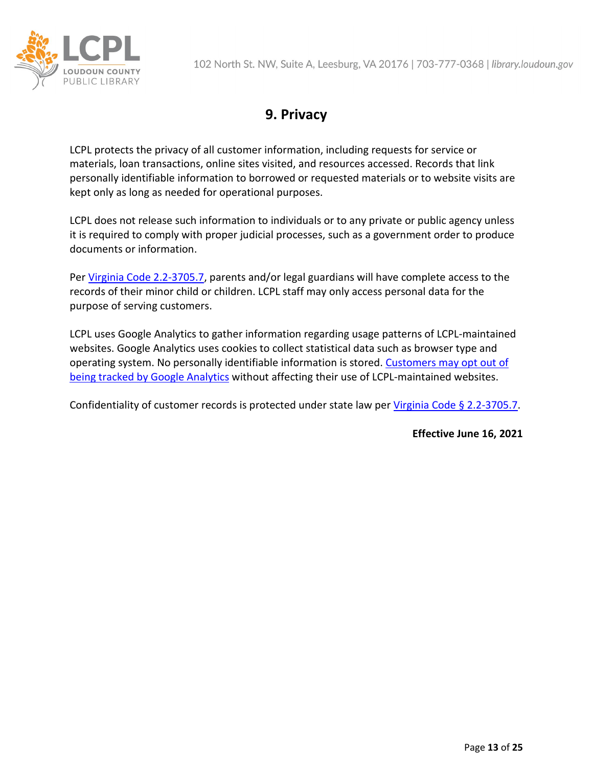

# **9. Privacy**

LCPL protects the privacy of all customer information, including requests for service or materials, loan transactions, online sites visited, and resources accessed. Records that link personally identifiable information to borrowed or requested materials or to website visits are kept only as long as needed for operational purposes.

LCPL does not release such information to individuals or to any private or public agency unless it is required to comply with proper judicial processes, such as a government order to produce documents or information.

Per [Virginia Code 2.2-3705.7,](https://law.lis.virginia.gov/vacode/title2.2/chapter37/section2.2-3705.7/) parents and/or legal guardians will have complete access to the records of their minor child or children. LCPL staff may only access personal data for the purpose of serving customers.

LCPL uses Google Analytics to gather information regarding usage patterns of LCPL-maintained websites. Google Analytics uses cookies to collect statistical data such as browser type and operating system. No personally identifiable information is stored. [Customers may opt out of](https://support.google.com/analytics)  [being tracked by Google Analytics](https://support.google.com/analytics) without affecting their use of LCPL-maintained websites.

Confidentiality of customer records is protected under state law per [Virginia Code § 2.2-3705.7.](https://law.lis.virginia.gov/vacode/title2.2/chapter37/section2.2-3705.7/)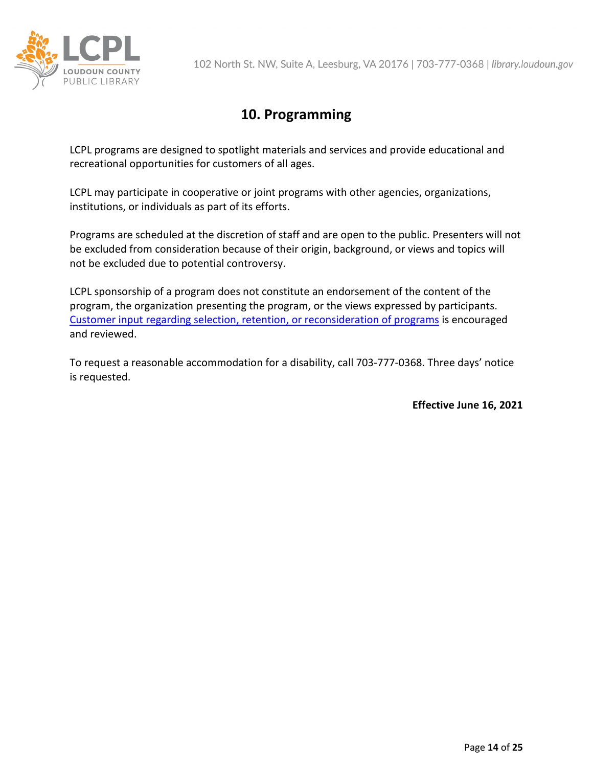

### **10. Programming**

LCPL programs are designed to spotlight materials and services and provide educational and recreational opportunities for customers of all ages.

LCPL may participate in cooperative or joint programs with other agencies, organizations, institutions, or individuals as part of its efforts.

Programs are scheduled at the discretion of staff and are open to the public. Presenters will not be excluded from consideration because of their origin, background, or views and topics will not be excluded due to potential controversy.

LCPL sponsorship of a program does not constitute an endorsement of the content of the program, the organization presenting the program, or the views expressed by participants. [Customer input regarding selection, retention, or reconsideration of programs](https://library.loudoun.gov/program) is encouraged and reviewed.

To request a reasonable accommodation for a disability, call 703-777-0368. Three days' notice is requested.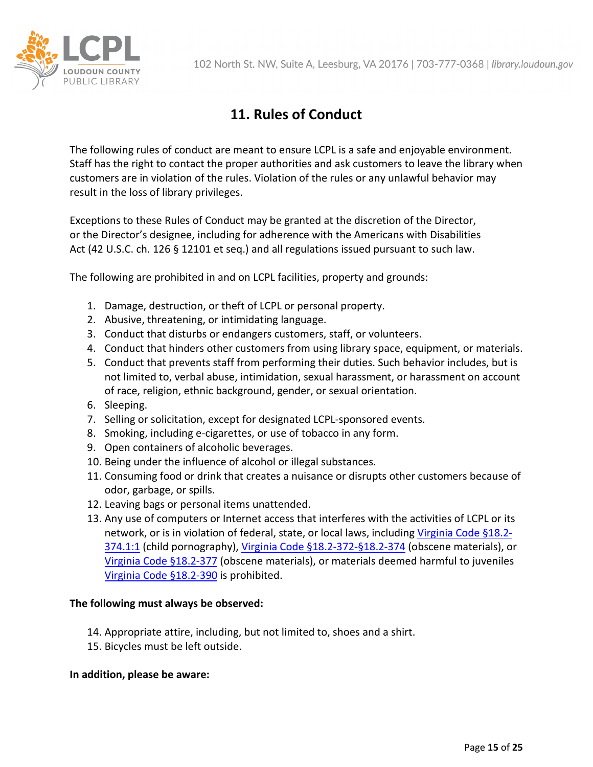

# **11. Rules of Conduct**

The following rules of conduct are meant to ensure LCPL is a safe and enjoyable environment. Staff has the right to contact the proper authorities and ask customers to leave the library when customers are in violation of the rules. Violation of the rules or any unlawful behavior may result in the loss of library privileges.

Exceptions to these Rules of Conduct may be granted at the discretion of the Director, or the Director's designee, including for adherence with the Americans with Disabilities Act (42 U.S.C. ch. 126 § 12101 et seq.) and all regulations issued pursuant to such law.

The following are prohibited in and on LCPL facilities, property and grounds:

- 1. Damage, destruction, or theft of LCPL or personal property.
- 2. Abusive, threatening, or intimidating language.
- 3. Conduct that disturbs or endangers customers, staff, or volunteers.
- 4. Conduct that hinders other customers from using library space, equipment, or materials.
- 5. Conduct that prevents staff from performing their duties. Such behavior includes, but is not limited to, verbal abuse, intimidation, sexual harassment, or harassment on account of race, religion, ethnic background, gender, or sexual orientation.
- 6. Sleeping.
- 7. Selling or solicitation, except for designated LCPL-sponsored events.
- 8. Smoking, including e-cigarettes, or use of tobacco in any form.
- 9. Open containers of alcoholic beverages.
- 10. Being under the influence of alcohol or illegal substances.
- 11. Consuming food or drink that creates a nuisance or disrupts other customers because of odor, garbage, or spills.
- 12. Leaving bags or personal items unattended.
- 13. Any use of computers or Internet access that interferes with the activities of LCPL or its network, or is in violation of federal, state, or local laws, including [Virginia Code §18.2-](https://law.lis.virginia.gov/vacode/title18.2/chapter8/section18.2-374.1:1/) [374.1:1](https://law.lis.virginia.gov/vacode/title18.2/chapter8/section18.2-374.1:1/) (child pornography), [Virginia Code §18.2-372-§18.2-374](https://law.lis.virginia.gov/vacodefull/title18.2/chapter8/article5/#:%7E:text=%C2%A7%2018.2%2D374.,etc.%2C%20of%20obscene%20items.&text=Possession%20in%20public%20or%20in,a%20violation%20of%20this%20section.) (obscene materials), or [Virginia Code §18.2-377](https://law.lis.virginia.gov/vacode/title18.2/chapter8/section18.2-377/#:%7E:text=It%20shall%20be%20unlawful%20for,upon%20any%20public%20place%2C%20any) (obscene materials), or materials deemed harmful to juveniles [Virginia Code §18.2-390](https://law.lis.virginia.gov/vacode/title18.2/chapter8/section18.2-390/#:%7E:text=(2)%20%22Nudity%22%20means,depiction%20of%20covered%20or%20uncovered) is prohibited.

### **The following must always be observed:**

- 14. Appropriate attire, including, but not limited to, shoes and a shirt.
- 15. Bicycles must be left outside.

#### **In addition, please be aware:**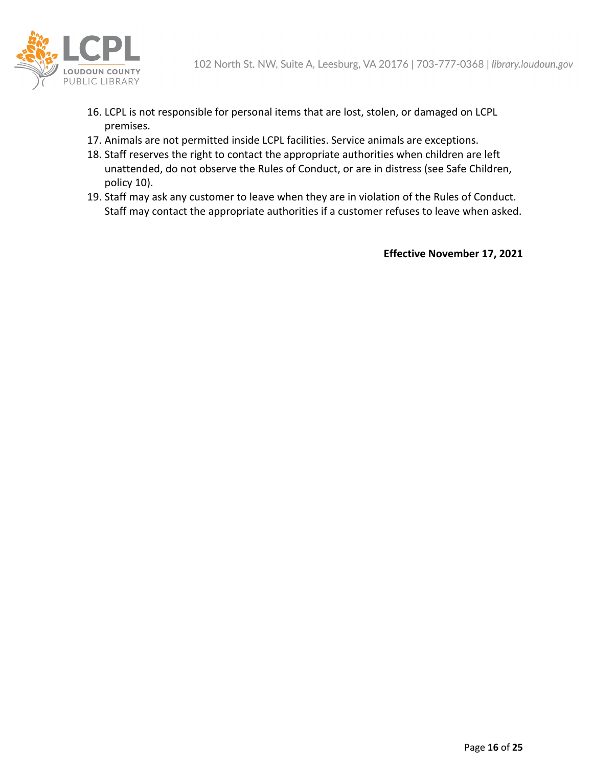

- 16. LCPL is not responsible for personal items that are lost, stolen, or damaged on LCPL premises.
- 17. Animals are not permitted inside LCPL facilities. Service animals are exceptions.
- 18. Staff reserves the right to contact the appropriate authorities when children are left unattended, do not observe the Rules of Conduct, or are in distress (see Safe Children, policy 10).
- 19. Staff may ask any customer to leave when they are in violation of the Rules of Conduct. Staff may contact the appropriate authorities if a customer refuses to leave when asked.

**Effective November 17, 2021**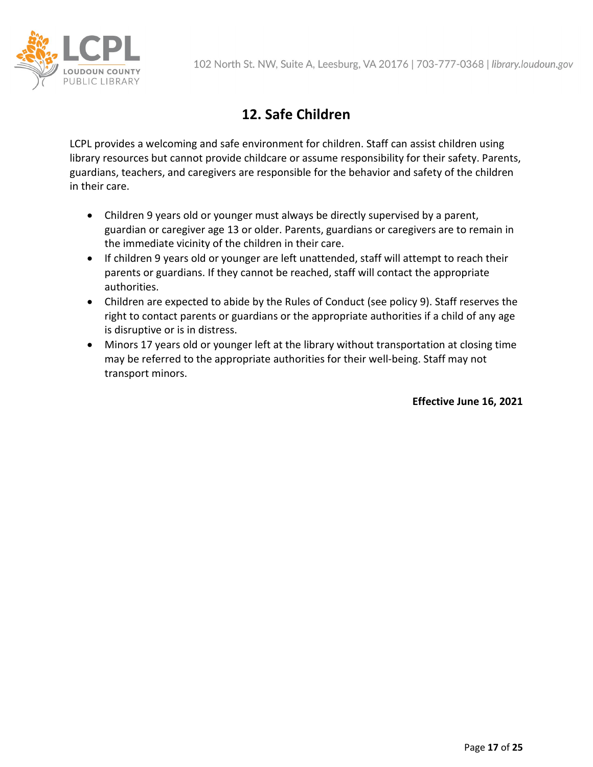

# **12. Safe Children**

LCPL provides a welcoming and safe environment for children. Staff can assist children using library resources but cannot provide childcare or assume responsibility for their safety. Parents, guardians, teachers, and caregivers are responsible for the behavior and safety of the children in their care.

- Children 9 years old or younger must always be directly supervised by a parent, guardian or caregiver age 13 or older. Parents, guardians or caregivers are to remain in the immediate vicinity of the children in their care.
- If children 9 years old or younger are left unattended, staff will attempt to reach their parents or guardians. If they cannot be reached, staff will contact the appropriate authorities.
- Children are expected to abide by the Rules of Conduct (see policy 9). Staff reserves the right to contact parents or guardians or the appropriate authorities if a child of any age is disruptive or is in distress.
- Minors 17 years old or younger left at the library without transportation at closing time may be referred to the appropriate authorities for their well-being. Staff may not transport minors.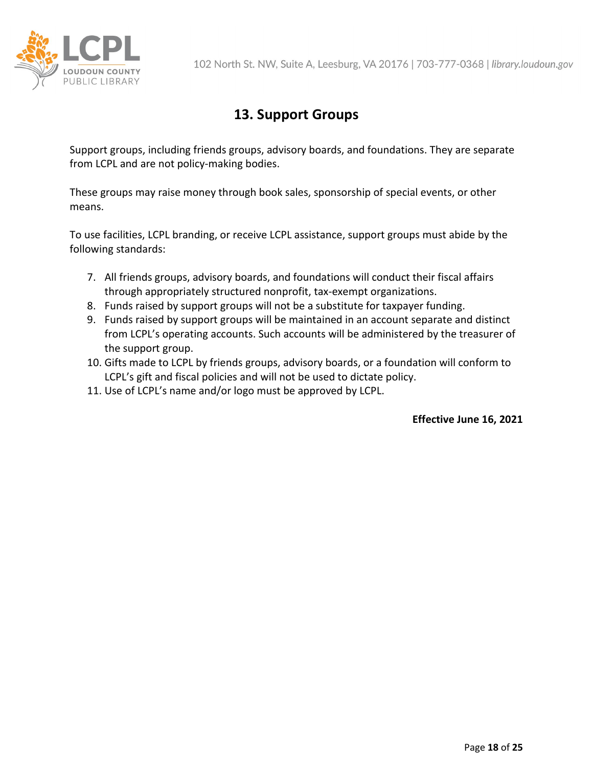

# **13. Support Groups**

Support groups, including friends groups, advisory boards, and foundations. They are separate from LCPL and are not policy-making bodies.

These groups may raise money through book sales, sponsorship of special events, or other means.

To use facilities, LCPL branding, or receive LCPL assistance, support groups must abide by the following standards:

- 7. All friends groups, advisory boards, and foundations will conduct their fiscal affairs through appropriately structured nonprofit, tax-exempt organizations.
- 8. Funds raised by support groups will not be a substitute for taxpayer funding.
- 9. Funds raised by support groups will be maintained in an account separate and distinct from LCPL's operating accounts. Such accounts will be administered by the treasurer of the support group.
- 10. Gifts made to LCPL by friends groups, advisory boards, or a foundation will conform to LCPL's gift and fiscal policies and will not be used to dictate policy.
- 11. Use of LCPL's name and/or logo must be approved by LCPL.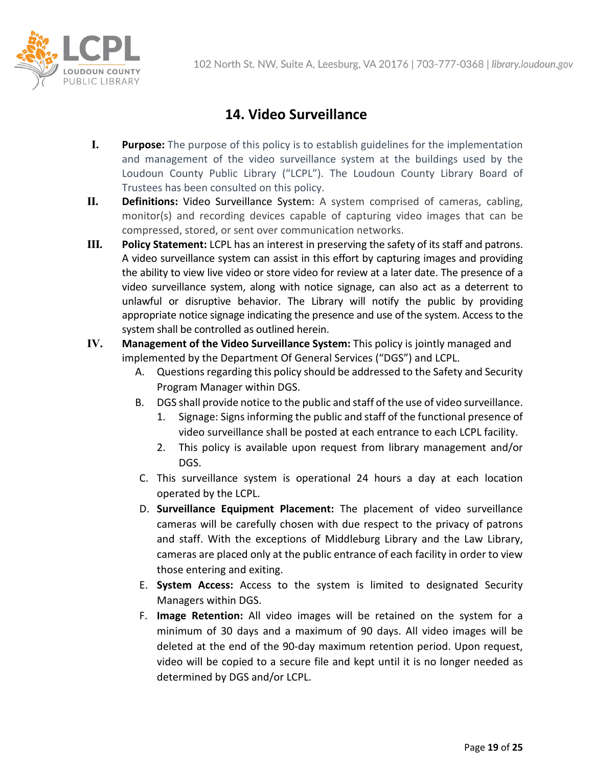

# **14. Video Surveillance**

- **I. Purpose:** The purpose of this policy is to establish guidelines for the implementation and management of the video surveillance system at the buildings used by the Loudoun County Public Library ("LCPL"). The Loudoun County Library Board of Trustees has been consulted on this policy.
- **II. Definitions:** Video Surveillance System: A system comprised of cameras, cabling, monitor(s) and recording devices capable of capturing video images that can be compressed, stored, or sent over communication networks.
- **III. Policy Statement:** LCPL has an interest in preserving the safety of its staff and patrons. A video surveillance system can assist in this effort by capturing images and providing the ability to view live video or store video for review at a later date. The presence of a video surveillance system, along with notice signage, can also act as a deterrent to unlawful or disruptive behavior. The Library will notify the public by providing appropriate notice signage indicating the presence and use of the system. Access to the system shall be controlled as outlined herein.
- **IV. Management of the Video Surveillance System:** This policy is jointly managed and implemented by the Department Of General Services ("DGS") and LCPL.
	- A. Questions regarding this policy should be addressed to the Safety and Security Program Manager within DGS.
	- B. DGS shall provide notice to the public and staff of the use of video surveillance.
		- 1. Signage: Signs informing the public and staff of the functional presence of video surveillance shall be posted at each entrance to each LCPL facility.
		- 2. This policy is available upon request from library management and/or DGS.
	- C. This surveillance system is operational 24 hours a day at each location operated by the LCPL.
	- D. **Surveillance Equipment Placement:** The placement of video surveillance cameras will be carefully chosen with due respect to the privacy of patrons and staff. With the exceptions of Middleburg Library and the Law Library, cameras are placed only at the public entrance of each facility in order to view those entering and exiting.
	- E. **System Access:** Access to the system is limited to designated Security Managers within DGS.
	- F. **Image Retention:** All video images will be retained on the system for a minimum of 30 days and a maximum of 90 days. All video images will be deleted at the end of the 90-day maximum retention period. Upon request, video will be copied to a secure file and kept until it is no longer needed as determined by DGS and/or LCPL.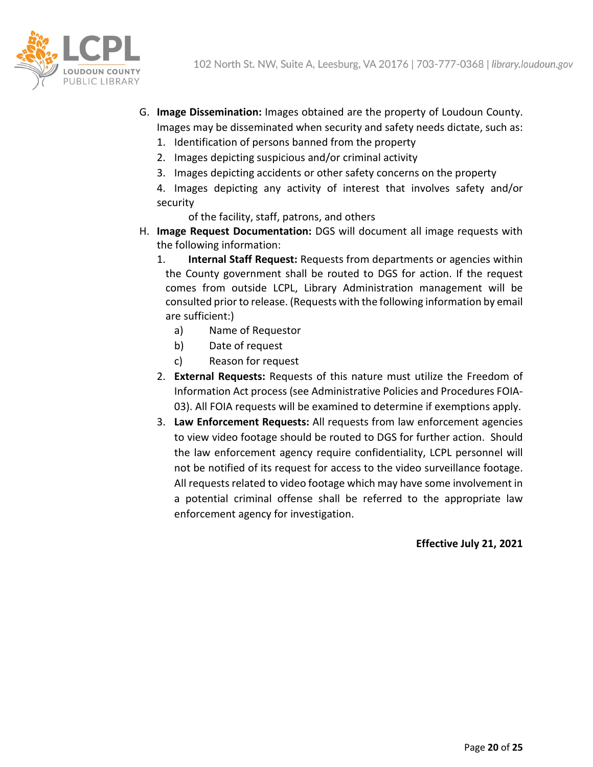

- G. **Image Dissemination:** Images obtained are the property of Loudoun County. Images may be disseminated when security and safety needs dictate, such as:
	- 1. Identification of persons banned from the property
	- 2. Images depicting suspicious and/or criminal activity
	- 3. Images depicting accidents or other safety concerns on the property
	- 4. Images depicting any activity of interest that involves safety and/or security

of the facility, staff, patrons, and others

- H. **Image Request Documentation:** DGS will document all image requests with the following information:
	- 1. **Internal Staff Request:** Requests from departments or agencies within the County government shall be routed to DGS for action. If the request comes from outside LCPL, Library Administration management will be consulted prior to release. (Requests with the following information by email are sufficient:)
		- a) Name of Requestor
		- b) Date of request
		- c) Reason for request
	- 2. **External Requests:** Requests of this nature must utilize the Freedom of Information Act process (see Administrative Policies and Procedures FOIA-03). All FOIA requests will be examined to determine if exemptions apply.
	- 3. **Law Enforcement Requests:** All requests from law enforcement agencies to view video footage should be routed to DGS for further action. Should the law enforcement agency require confidentiality, LCPL personnel will not be notified of its request for access to the video surveillance footage. All requests related to video footage which may have some involvement in a potential criminal offense shall be referred to the appropriate law enforcement agency for investigation.

**Effective July 21, 2021**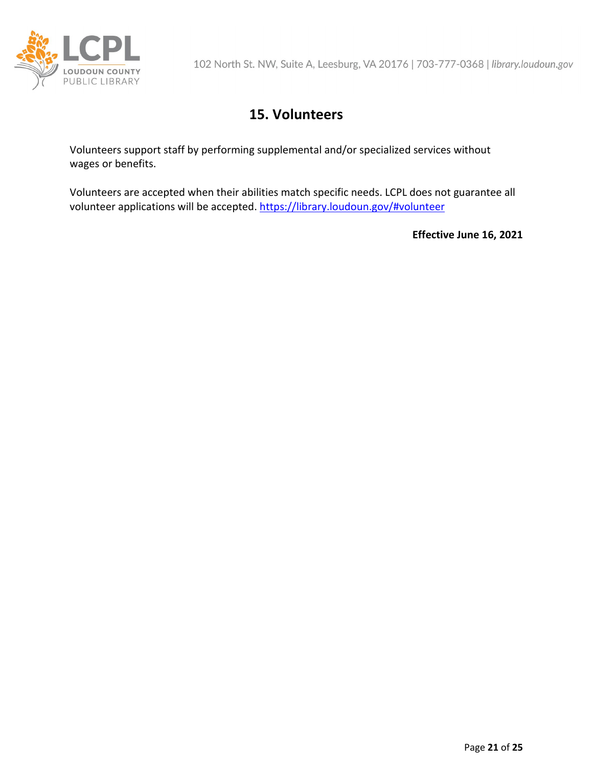

# **15. Volunteers**

Volunteers support staff by performing supplemental and/or specialized services without wages or benefits.

Volunteers are accepted when their abilities match specific needs. LCPL does not guarantee all volunteer applications will be accepted.<https://library.loudoun.gov/#volunteer>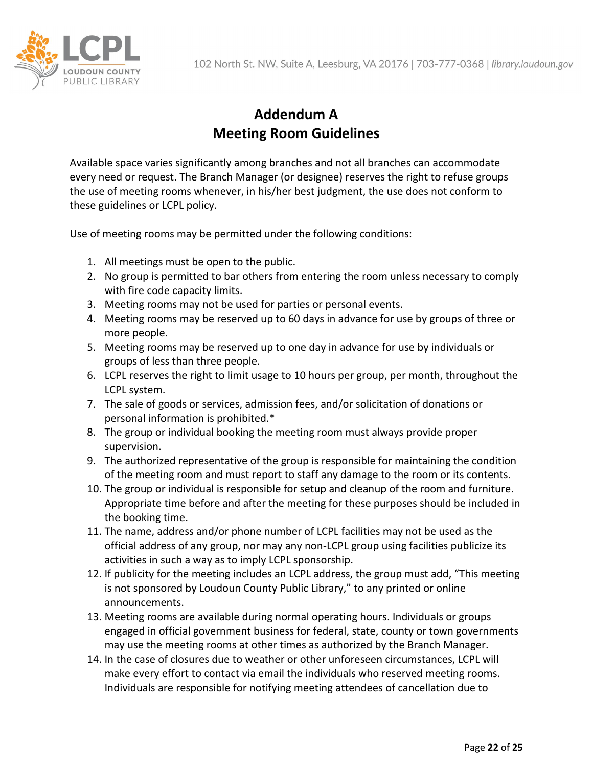

# **Addendum A Meeting Room Guidelines**

Available space varies significantly among branches and not all branches can accommodate every need or request. The Branch Manager (or designee) reserves the right to refuse groups the use of meeting rooms whenever, in his/her best judgment, the use does not conform to these guidelines or LCPL policy.

Use of meeting rooms may be permitted under the following conditions:

- 1. All meetings must be open to the public.
- 2. No group is permitted to bar others from entering the room unless necessary to comply with fire code capacity limits.
- 3. Meeting rooms may not be used for parties or personal events.
- 4. Meeting rooms may be reserved up to 60 days in advance for use by groups of three or more people.
- 5. Meeting rooms may be reserved up to one day in advance for use by individuals or groups of less than three people.
- 6. LCPL reserves the right to limit usage to 10 hours per group, per month, throughout the LCPL system.
- 7. The sale of goods or services, admission fees, and/or solicitation of donations or personal information is prohibited.\*
- 8. The group or individual booking the meeting room must always provide proper supervision.
- 9. The authorized representative of the group is responsible for maintaining the condition of the meeting room and must report to staff any damage to the room or its contents.
- 10. The group or individual is responsible for setup and cleanup of the room and furniture. Appropriate time before and after the meeting for these purposes should be included in the booking time.
- 11. The name, address and/or phone number of LCPL facilities may not be used as the official address of any group, nor may any non-LCPL group using facilities publicize its activities in such a way as to imply LCPL sponsorship.
- 12. If publicity for the meeting includes an LCPL address, the group must add, "This meeting is not sponsored by Loudoun County Public Library," to any printed or online announcements.
- 13. Meeting rooms are available during normal operating hours. Individuals or groups engaged in official government business for federal, state, county or town governments may use the meeting rooms at other times as authorized by the Branch Manager.
- 14. In the case of closures due to weather or other unforeseen circumstances, LCPL will make every effort to contact via email the individuals who reserved meeting rooms. Individuals are responsible for notifying meeting attendees of cancellation due to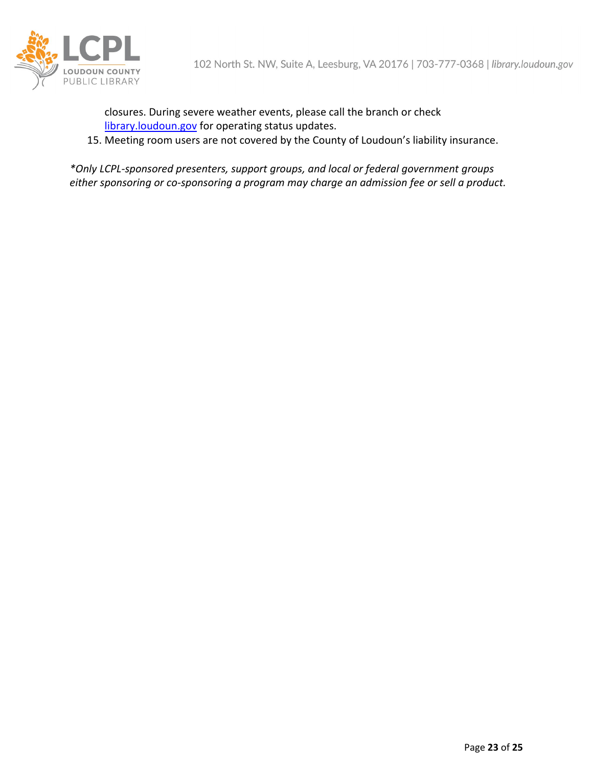

closures. During severe weather events, please call the branch or check [library.loudoun.gov](https://library.loudoun.gov/) for operating status updates.

15. Meeting room users are not covered by the County of Loudoun's liability insurance.

*\*Only LCPL-sponsored presenters, support groups, and local or federal government groups either sponsoring or co-sponsoring a program may charge an admission fee or sell a product.*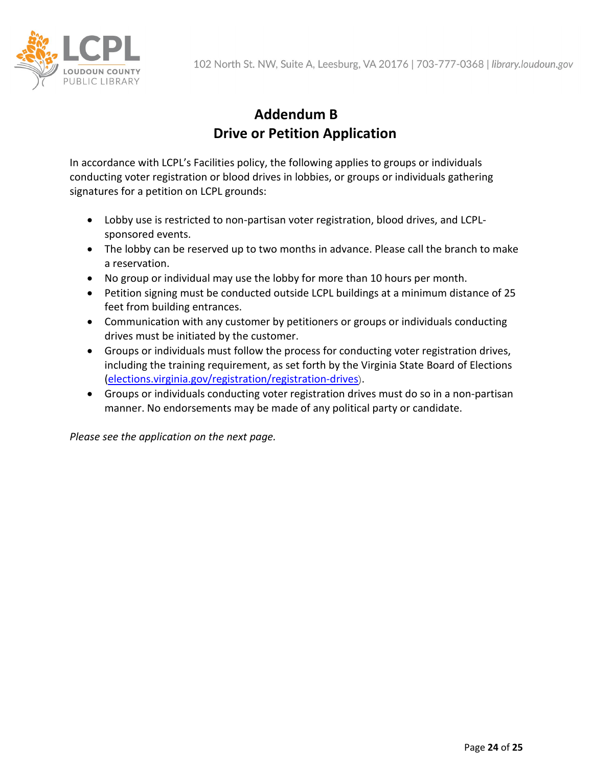

# **Addendum B Drive or Petition Application**

In accordance with LCPL's Facilities policy, the following applies to groups or individuals conducting voter registration or blood drives in lobbies, or groups or individuals gathering signatures for a petition on LCPL grounds:

- Lobby use is restricted to non-partisan voter registration, blood drives, and LCPLsponsored events.
- The lobby can be reserved up to two months in advance. Please call the branch to make a reservation.
- No group or individual may use the lobby for more than 10 hours per month.
- Petition signing must be conducted outside LCPL buildings at a minimum distance of 25 feet from building entrances.
- Communication with any customer by petitioners or groups or individuals conducting drives must be initiated by the customer.
- Groups or individuals must follow the process for conducting voter registration drives, including the training requirement, as set forth by the Virginia State Board of Elections [\(elections.virginia.gov/registration/registration-drives](https://www.elections.virginia.gov/registration/registration-drives/)).
- Groups or individuals conducting voter registration drives must do so in a non-partisan manner. No endorsements may be made of any political party or candidate.

*Please see the application on the next page.*